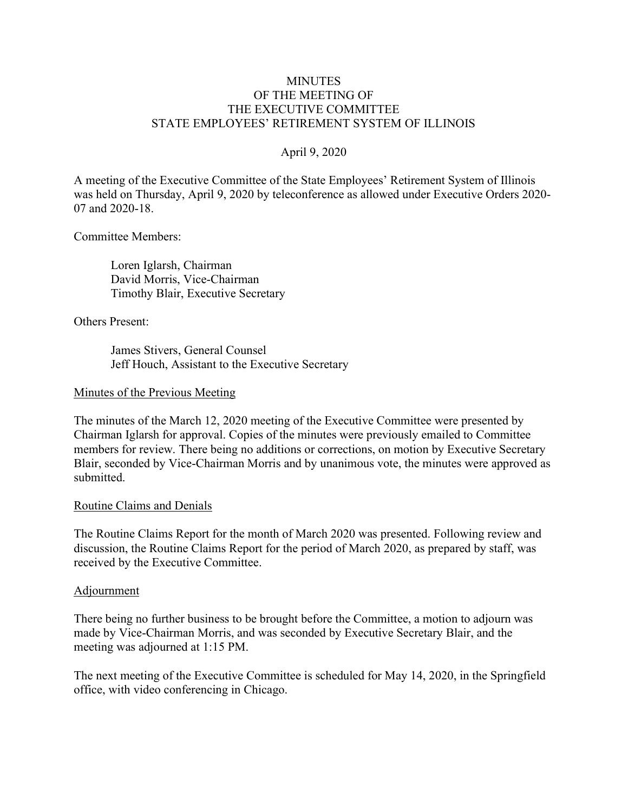# **MINUTES** OF THE MEETING OF THE EXECUTIVE COMMITTEE STATE EMPLOYEES' RETIREMENT SYSTEM OF ILLINOIS

# April 9, 2020

A meeting of the Executive Committee of the State Employees' Retirement System of Illinois was held on Thursday, April 9, 2020 by teleconference as allowed under Executive Orders 2020- 07 and 2020-18.

Committee Members:

 Loren Iglarsh, Chairman David Morris, Vice-Chairman Timothy Blair, Executive Secretary

Others Present:

 James Stivers, General Counsel Jeff Houch, Assistant to the Executive Secretary

### Minutes of the Previous Meeting

The minutes of the March 12, 2020 meeting of the Executive Committee were presented by Chairman Iglarsh for approval. Copies of the minutes were previously emailed to Committee members for review. There being no additions or corrections, on motion by Executive Secretary Blair, seconded by Vice-Chairman Morris and by unanimous vote, the minutes were approved as submitted.

### Routine Claims and Denials

The Routine Claims Report for the month of March 2020 was presented. Following review and discussion, the Routine Claims Report for the period of March 2020, as prepared by staff, was received by the Executive Committee.

### Adjournment

There being no further business to be brought before the Committee, a motion to adjourn was made by Vice-Chairman Morris, and was seconded by Executive Secretary Blair, and the meeting was adjourned at 1:15 PM.

The next meeting of the Executive Committee is scheduled for May 14, 2020, in the Springfield office, with video conferencing in Chicago.